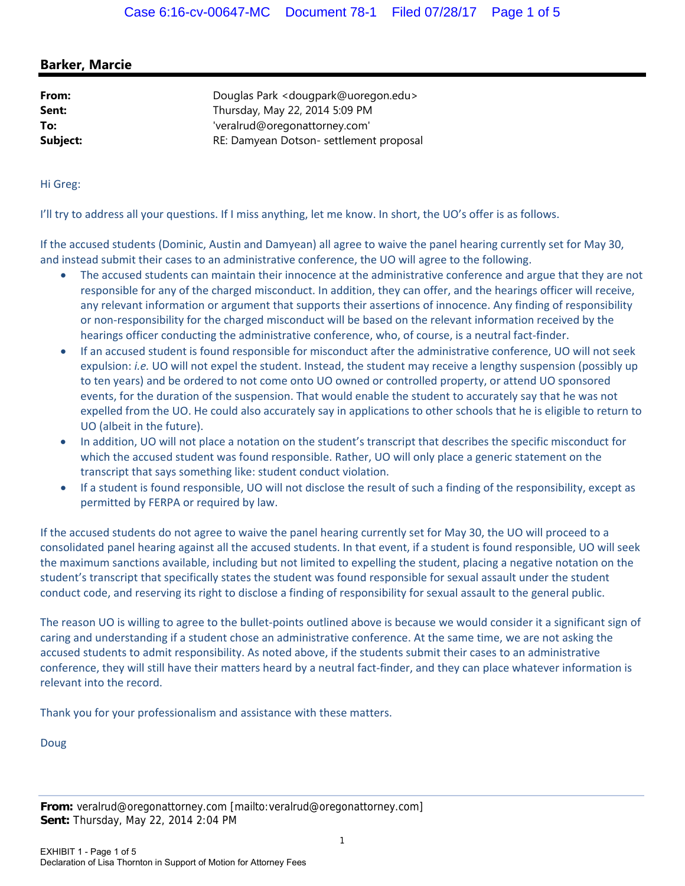## **Barker, Marcie**

| From:    | Douglas Park < dougpark@uoregon.edu>    |
|----------|-----------------------------------------|
| Sent:    | Thursday, May 22, 2014 5:09 PM          |
| To:      | 'veralrud@oregonattorney.com'           |
| Subject: | RE: Damyean Dotson- settlement proposal |

Hi Greg:

I'll try to address all your questions. If I miss anything, let me know. In short, the UO's offer is as follows.

If the accused students (Dominic, Austin and Damyean) all agree to waive the panel hearing currently set for May 30, and instead submit their cases to an administrative conference, the UO will agree to the following.

- The accused students can maintain their innocence at the administrative conference and argue that they are not responsible for any of the charged misconduct. In addition, they can offer, and the hearings officer will receive, any relevant information or argument that supports their assertions of innocence. Any finding of responsibility or non‐responsibility for the charged misconduct will be based on the relevant information received by the hearings officer conducting the administrative conference, who, of course, is a neutral fact-finder.
- If an accused student is found responsible for misconduct after the administrative conference, UO will not seek expulsion: *i.e.* UO will not expel the student. Instead, the student may receive a lengthy suspension (possibly up to ten years) and be ordered to not come onto UO owned or controlled property, or attend UO sponsored events, for the duration of the suspension. That would enable the student to accurately say that he was not expelled from the UO. He could also accurately say in applications to other schools that he is eligible to return to UO (albeit in the future).
- In addition, UO will not place a notation on the student's transcript that describes the specific misconduct for which the accused student was found responsible. Rather, UO will only place a generic statement on the transcript that says something like: student conduct violation.
- If a student is found responsible, UO will not disclose the result of such a finding of the responsibility, except as permitted by FERPA or required by law.

If the accused students do not agree to waive the panel hearing currently set for May 30, the UO will proceed to a consolidated panel hearing against all the accused students. In that event, if a student is found responsible, UO will seek the maximum sanctions available, including but not limited to expelling the student, placing a negative notation on the student's transcript that specifically states the student was found responsible for sexual assault under the student conduct code, and reserving its right to disclose a finding of responsibility for sexual assault to the general public.

The reason UO is willing to agree to the bullet-points outlined above is because we would consider it a significant sign of caring and understanding if a student chose an administrative conference. At the same time, we are not asking the accused students to admit responsibility. As noted above, if the students submit their cases to an administrative conference, they will still have their matters heard by a neutral fact-finder, and they can place whatever information is relevant into the record.

Thank you for your professionalism and assistance with these matters.

Doug

**From:** veralrud@oregonattorney.com [mailto:veralrud@oregonattorney.com] **Sent:** Thursday, May 22, 2014 2:04 PM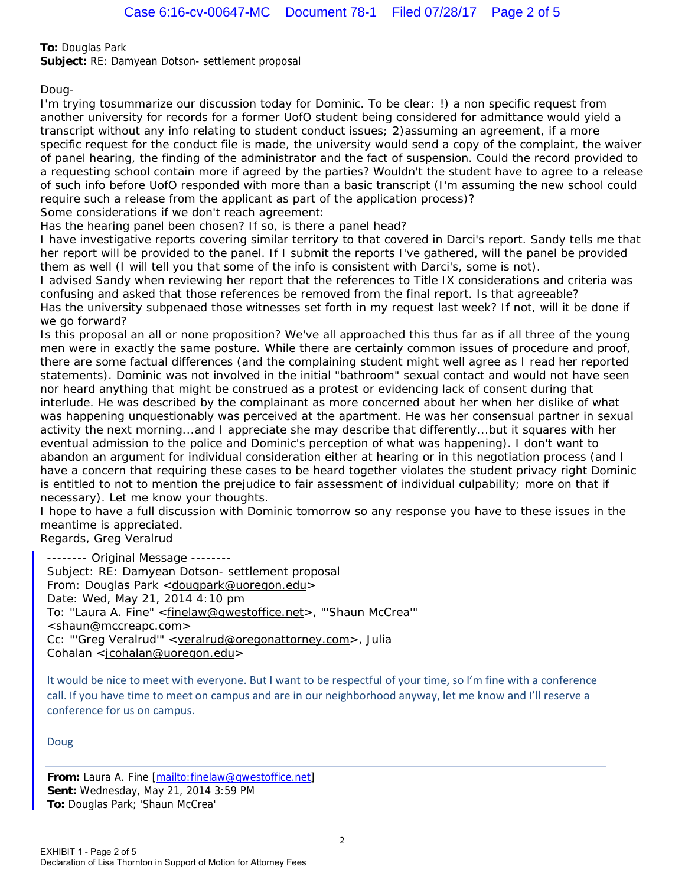**To:** Douglas Park

**Subject:** RE: Damyean Dotson- settlement proposal

Doug-

I'm trying tosummarize our discussion today for Dominic. To be clear: !) a non specific request from another university for records for a former UofO student being considered for admittance would yield a transcript without any info relating to student conduct issues; 2)assuming an agreement, if a more specific request for the conduct file is made, the university would send a copy of the complaint, the waiver of panel hearing, the finding of the administrator and the fact of suspension. Could the record provided to a requesting school contain more if agreed by the parties? Wouldn't the student have to agree to a release of such info before UofO responded with more than a basic transcript (I'm assuming the new school could require such a release from the applicant as part of the application process)?

Some considerations if we don't reach agreement: Has the hearing panel been chosen? If so, is there a panel head?

I have investigative reports covering similar territory to that covered in Darci's report. Sandy tells me that her report will be provided to the panel. If I submit the reports I've gathered, will the panel be provided them as well (I will tell you that some of the info is consistent with Darci's, some is not).

I advised Sandy when reviewing her report that the references to Title IX considerations and criteria was confusing and asked that those references be removed from the final report. Is that agreeable? Has the university subpenaed those witnesses set forth in my request last week? If not, will it be done if we go forward?

Is this proposal an all or none proposition? We've all approached this thus far as if all three of the young men were in exactly the same posture. While there are certainly common issues of procedure and proof, there are some factual differences (and the complaining student might well agree as I read her reported statements). Dominic was not involved in the initial "bathroom" sexual contact and would not have seen nor heard anything that might be construed as a protest or evidencing lack of consent during that interlude. He was described by the complainant as more concerned about her when her dislike of what was happening unquestionably was perceived at the apartment. He was her consensual partner in sexual activity the next morning...and I appreciate she may describe that differently...but it squares with her eventual admission to the police and Dominic's perception of what was happening). I don't want to abandon an argument for individual consideration either at hearing or in this negotiation process (and I have a concern that requiring these cases to be heard together violates the student privacy right Dominic is entitled to not to mention the prejudice to fair assessment of individual culpability; more on that if necessary). Let me know your thoughts.

I hope to have a full discussion with Dominic tomorrow so any response you have to these issues in the meantime is appreciated.

Regards, Greg Veralrud

-------- Original Message -------- Subject: RE: Damyean Dotson- settlement proposal From: Douglas Park <dougpark@uoregon.edu> Date: Wed, May 21, 2014 4:10 pm To: "Laura A. Fine" <finelaw@qwestoffice.net>, "'Shaun McCrea'" <shaun@mccreapc.com> Cc: "'Greg Veralrud'" <veralrud@oregonattorney.com>, Julia Cohalan <jcohalan@uoregon.edu>

It would be nice to meet with everyone. But I want to be respectful of your time, so I'm fine with a conference call. If you have time to meet on campus and are in our neighborhood anyway, let me know and I'll reserve a conference for us on campus.

Doug

**From:** Laura A. Fine [mailto:finelaw@qwestoffice.net] **Sent:** Wednesday, May 21, 2014 3:59 PM **To:** Douglas Park; 'Shaun McCrea'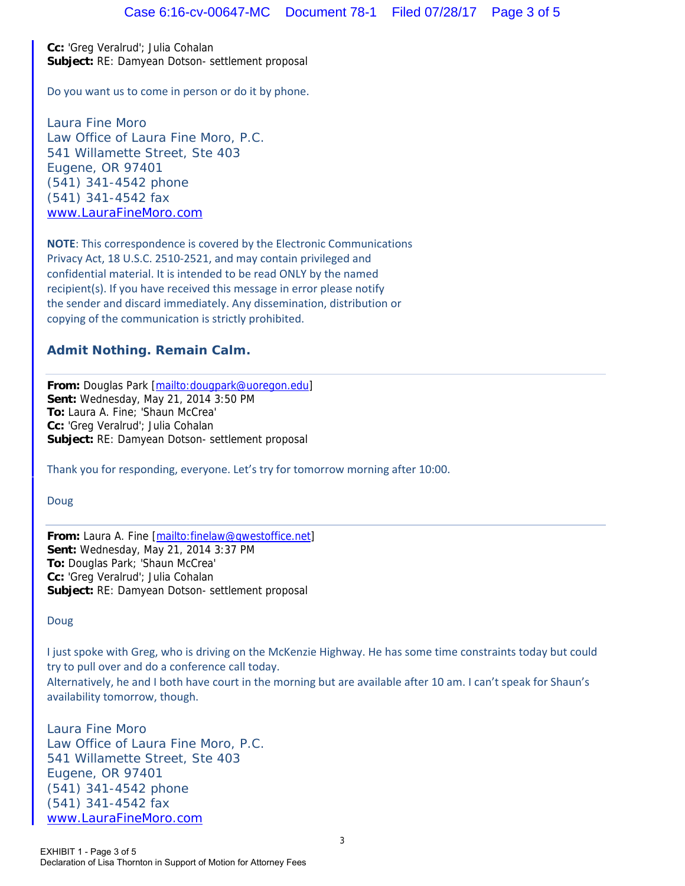**Cc:** 'Greg Veralrud'; Julia Cohalan **Subject:** RE: Damyean Dotson- settlement proposal

Do you want us to come in person or do it by phone.

Laura Fine Moro Law Office of Laura Fine Moro, P.C. 541 Willamette Street, Ste 403 Eugene, OR 97401 (541) 341-4542 phone (541) 341-4542 fax www.LauraFineMoro.com

**NOTE**: This correspondence is covered by the Electronic Communications Privacy Act, 18 U.S.C. 2510‐2521, and may contain privileged and confidential material. It is intended to be read ONLY by the named recipient(s). If you have received this message in error please notify the sender and discard immediately. Any dissemination, distribution or copying of the communication is strictly prohibited.

## *Admit Nothing. Remain Calm.*

**From:** Douglas Park [mailto:dougpark@uoregon.edu] **Sent:** Wednesday, May 21, 2014 3:50 PM **To:** Laura A. Fine; 'Shaun McCrea' **Cc:** 'Greg Veralrud'; Julia Cohalan **Subject:** RE: Damyean Dotson- settlement proposal

Thank you for responding, everyone. Let's try for tomorrow morning after 10:00.

Doug

**From:** Laura A. Fine [mailto:finelaw@qwestoffice.net] **Sent:** Wednesday, May 21, 2014 3:37 PM **To:** Douglas Park; 'Shaun McCrea' **Cc:** 'Greg Veralrud'; Julia Cohalan **Subject:** RE: Damyean Dotson- settlement proposal

Doug

I just spoke with Greg, who is driving on the McKenzie Highway. He has some time constraints today but could try to pull over and do a conference call today. Alternatively, he and I both have court in the morning but are available after 10 am. I can't speak for Shaun's

Laura Fine Moro Law Office of Laura Fine Moro, P.C. 541 Willamette Street, Ste 403 Eugene, OR 97401 (541) 341-4542 phone (541) 341-4542 fax www.LauraFineMoro.com

availability tomorrow, though.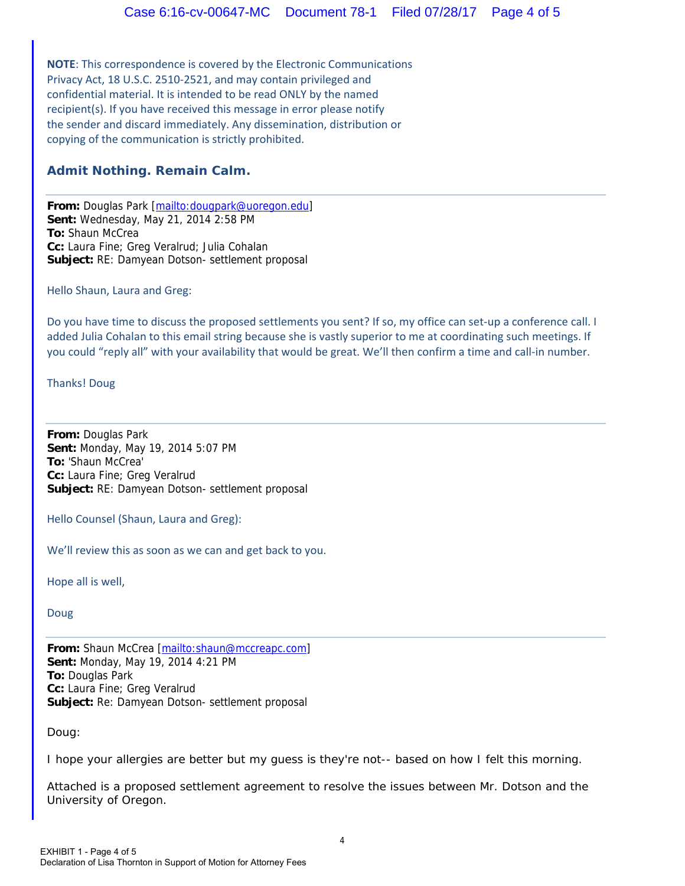**NOTE**: This correspondence is covered by the Electronic Communications Privacy Act, 18 U.S.C. 2510‐2521, and may contain privileged and confidential material. It is intended to be read ONLY by the named recipient(s). If you have received this message in error please notify the sender and discard immediately. Any dissemination, distribution or copying of the communication is strictly prohibited.

## *Admit Nothing. Remain Calm.*

**From:** Douglas Park [mailto:dougpark@uoregon.edu] **Sent:** Wednesday, May 21, 2014 2:58 PM **To:** Shaun McCrea **Cc:** Laura Fine; Greg Veralrud; Julia Cohalan **Subject:** RE: Damyean Dotson- settlement proposal

## Hello Shaun, Laura and Greg:

Do you have time to discuss the proposed settlements you sent? If so, my office can set-up a conference call. I added Julia Cohalan to this email string because she is vastly superior to me at coordinating such meetings. If you could "reply all" with your availability that would be great. We'll then confirm a time and call‐in number.

Thanks! Doug

**From:** Douglas Park **Sent:** Monday, May 19, 2014 5:07 PM **To:** 'Shaun McCrea' **Cc:** Laura Fine; Greg Veralrud **Subject:** RE: Damyean Dotson- settlement proposal

Hello Counsel (Shaun, Laura and Greg):

We'll review this as soon as we can and get back to you.

Hope all is well,

Doug

From: Shaun McCrea [mailto:shaun@mccreapc.com] **Sent:** Monday, May 19, 2014 4:21 PM **To:** Douglas Park **Cc:** Laura Fine; Greg Veralrud **Subject:** Re: Damyean Dotson- settlement proposal

Doug:

I hope your allergies are better but my guess is they're not-- based on how I felt this morning.

Attached is a proposed settlement agreement to resolve the issues between Mr. Dotson and the University of Oregon.